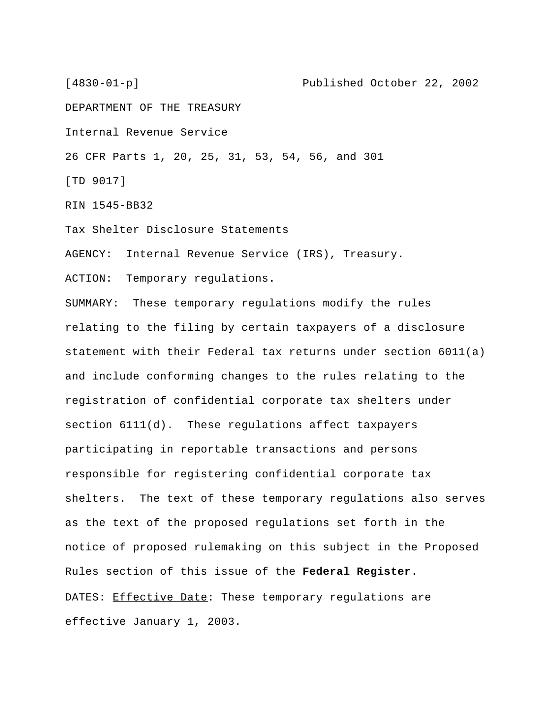[4830-01-p] Published October 22, 2002

DEPARTMENT OF THE TREASURY

Internal Revenue Service

26 CFR Parts 1, 20, 25, 31, 53, 54, 56, and 301

[TD 9017]

RIN 1545-BB32

Tax Shelter Disclosure Statements

AGENCY: Internal Revenue Service (IRS), Treasury.

ACTION: Temporary regulations.

SUMMARY: These temporary regulations modify the rules relating to the filing by certain taxpayers of a disclosure statement with their Federal tax returns under section 6011(a) and include conforming changes to the rules relating to the registration of confidential corporate tax shelters under section 6111(d). These regulations affect taxpayers participating in reportable transactions and persons responsible for registering confidential corporate tax shelters. The text of these temporary regulations also serves as the text of the proposed regulations set forth in the notice of proposed rulemaking on this subject in the Proposed Rules section of this issue of the **Federal Register**. DATES: Effective Date: These temporary regulations are effective January 1, 2003.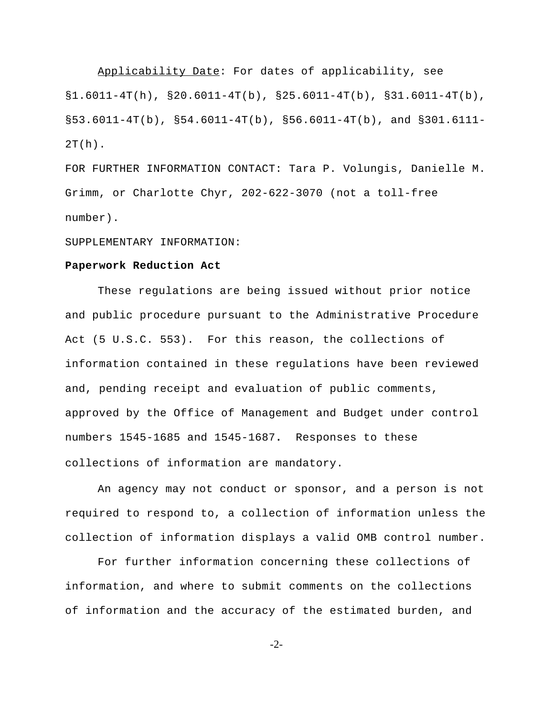Applicability Date: For dates of applicability, see  $\S1.6011-4T(h)$ ,  $\S20.6011-4T(b)$ ,  $\S25.6011-4T(b)$ ,  $\S31.6011-4T(b)$ ,  $\S 53.6011-4T(b)$ ,  $\S 54.6011-4T(b)$ ,  $\S 56.6011-4T(b)$ , and  $\S 301.6111 2T(h)$ .

FOR FURTHER INFORMATION CONTACT: Tara P. Volungis, Danielle M. Grimm, or Charlotte Chyr, 202-622-3070 (not a toll-free number).

SUPPLEMENTARY INFORMATION:

## **Paperwork Reduction Act**

These regulations are being issued without prior notice and public procedure pursuant to the Administrative Procedure Act (5 U.S.C. 553). For this reason, the collections of information contained in these regulations have been reviewed and, pending receipt and evaluation of public comments, approved by the Office of Management and Budget under control numbers 1545-1685 and 1545-1687**.** Responses to these collections of information are mandatory.

An agency may not conduct or sponsor, and a person is not required to respond to, a collection of information unless the collection of information displays a valid OMB control number.

For further information concerning these collections of information, and where to submit comments on the collections of information and the accuracy of the estimated burden, and

-2-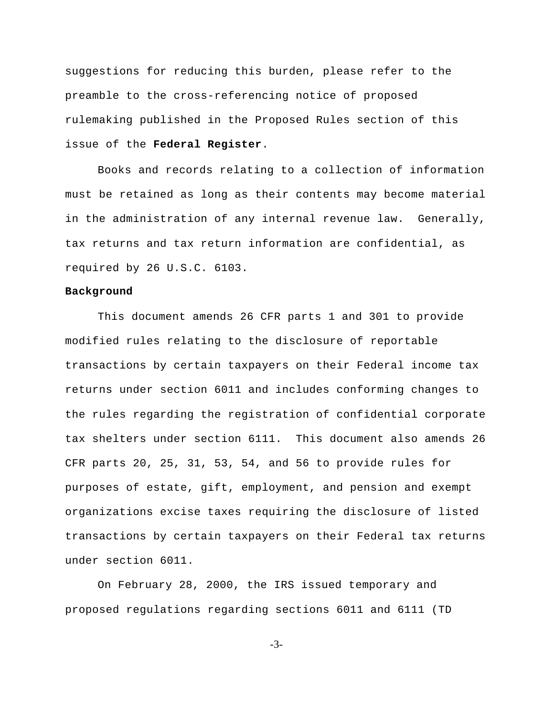suggestions for reducing this burden, please refer to the preamble to the cross-referencing notice of proposed rulemaking published in the Proposed Rules section of this issue of the **Federal Register**.

Books and records relating to a collection of information must be retained as long as their contents may become material in the administration of any internal revenue law. Generally, tax returns and tax return information are confidential, as required by 26 U.S.C. 6103.

## **Background**

This document amends 26 CFR parts 1 and 301 to provide modified rules relating to the disclosure of reportable transactions by certain taxpayers on their Federal income tax returns under section 6011 and includes conforming changes to the rules regarding the registration of confidential corporate tax shelters under section 6111. This document also amends 26 CFR parts 20, 25, 31, 53, 54, and 56 to provide rules for purposes of estate, gift, employment, and pension and exempt organizations excise taxes requiring the disclosure of listed transactions by certain taxpayers on their Federal tax returns under section 6011.

On February 28, 2000, the IRS issued temporary and proposed regulations regarding sections 6011 and 6111 (TD

-3-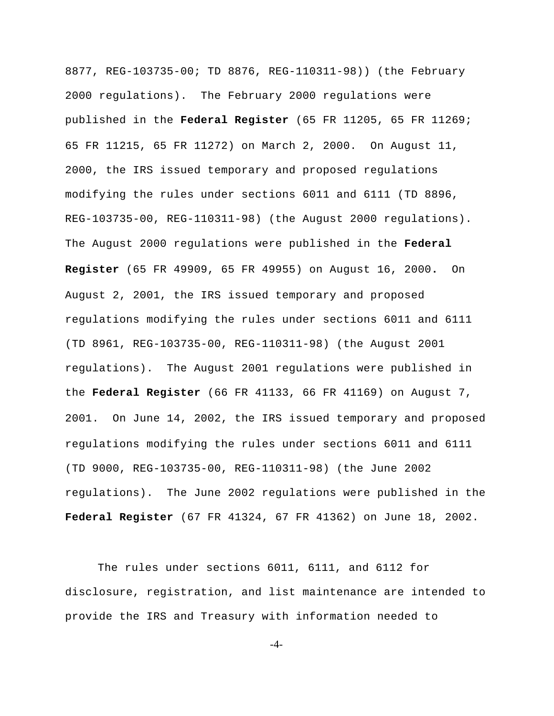8877, REG-103735-00; TD 8876, REG-110311-98)) (the February 2000 regulations). The February 2000 regulations were published in the **Federal Register** (65 FR 11205, 65 FR 11269; 65 FR 11215, 65 FR 11272) on March 2, 2000. On August 11, 2000, the IRS issued temporary and proposed regulations modifying the rules under sections 6011 and 6111 (TD 8896, REG-103735-00, REG-110311-98) (the August 2000 regulations). The August 2000 regulations were published in the **Federal Register** (65 FR 49909, 65 FR 49955) on August 16, 2000**.** On August 2, 2001, the IRS issued temporary and proposed regulations modifying the rules under sections 6011 and 6111 (TD 8961, REG-103735-00, REG-110311-98) (the August 2001 regulations). The August 2001 regulations were published in the **Federal Register** (66 FR 41133, 66 FR 41169) on August 7, 2001. On June 14, 2002, the IRS issued temporary and proposed regulations modifying the rules under sections 6011 and 6111 (TD 9000, REG-103735-00, REG-110311-98) (the June 2002 regulations). The June 2002 regulations were published in the **Federal Register** (67 FR 41324, 67 FR 41362) on June 18, 2002.

The rules under sections 6011, 6111, and 6112 for disclosure, registration, and list maintenance are intended to provide the IRS and Treasury with information needed to

-4-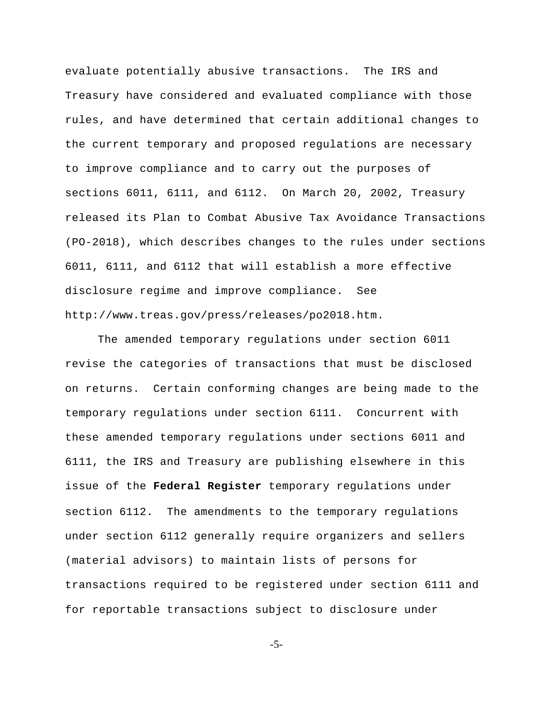evaluate potentially abusive transactions. The IRS and Treasury have considered and evaluated compliance with those rules, and have determined that certain additional changes to the current temporary and proposed regulations are necessary to improve compliance and to carry out the purposes of sections 6011, 6111, and 6112. On March 20, 2002, Treasury released its Plan to Combat Abusive Tax Avoidance Transactions (PO-2018), which describes changes to the rules under sections 6011, 6111, and 6112 that will establish a more effective disclosure regime and improve compliance. See http://www.treas.gov/press/releases/po2018.htm.

The amended temporary regulations under section 6011 revise the categories of transactions that must be disclosed on returns. Certain conforming changes are being made to the temporary regulations under section 6111. Concurrent with these amended temporary regulations under sections 6011 and 6111, the IRS and Treasury are publishing elsewhere in this issue of the **Federal Register** temporary regulations under section 6112. The amendments to the temporary regulations under section 6112 generally require organizers and sellers (material advisors) to maintain lists of persons for transactions required to be registered under section 6111 and for reportable transactions subject to disclosure under

-5-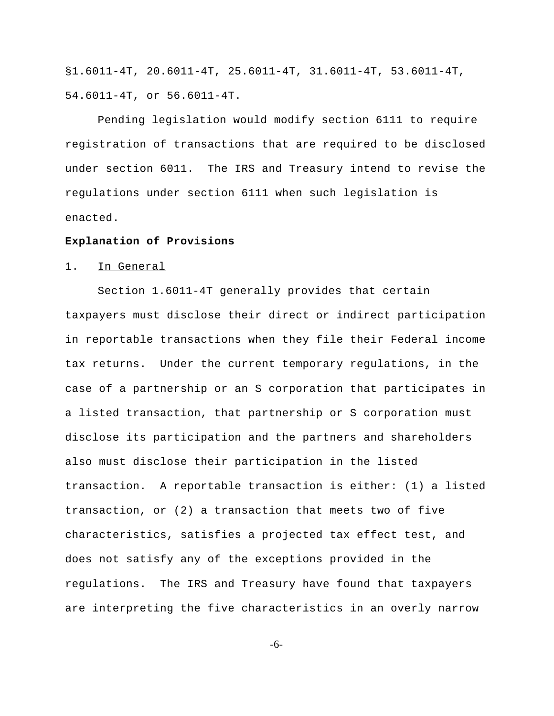§1.6011-4T, 20.6011-4T, 25.6011-4T, 31.6011-4T, 53.6011-4T, 54.6011-4T, or 56.6011-4T.

Pending legislation would modify section 6111 to require registration of transactions that are required to be disclosed under section 6011. The IRS and Treasury intend to revise the regulations under section 6111 when such legislation is enacted.

#### **Explanation of Provisions**

#### 1. In General

Section 1.6011-4T generally provides that certain taxpayers must disclose their direct or indirect participation in reportable transactions when they file their Federal income tax returns. Under the current temporary regulations, in the case of a partnership or an S corporation that participates in a listed transaction, that partnership or S corporation must disclose its participation and the partners and shareholders also must disclose their participation in the listed transaction. A reportable transaction is either: (1) a listed transaction, or (2) a transaction that meets two of five characteristics, satisfies a projected tax effect test, and does not satisfy any of the exceptions provided in the regulations. The IRS and Treasury have found that taxpayers are interpreting the five characteristics in an overly narrow

-6-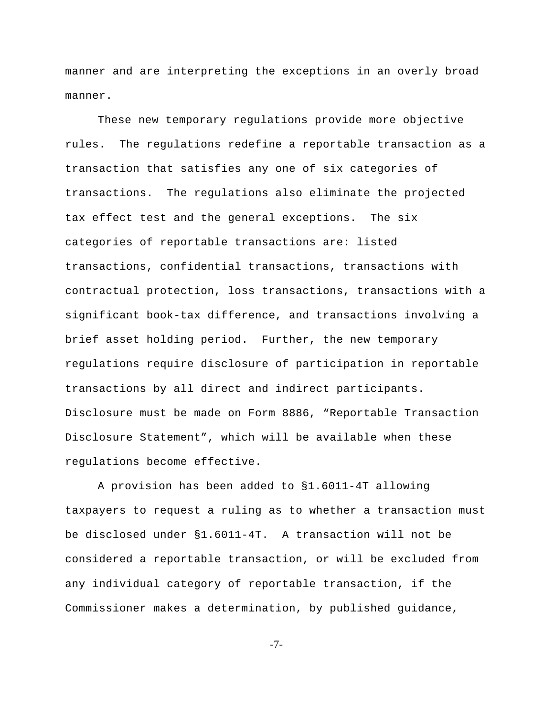manner and are interpreting the exceptions in an overly broad manner.

These new temporary regulations provide more objective rules. The regulations redefine a reportable transaction as a transaction that satisfies any one of six categories of transactions. The regulations also eliminate the projected tax effect test and the general exceptions. The six categories of reportable transactions are: listed transactions, confidential transactions, transactions with contractual protection, loss transactions, transactions with a significant book-tax difference, and transactions involving a brief asset holding period. Further, the new temporary regulations require disclosure of participation in reportable transactions by all direct and indirect participants. Disclosure must be made on Form 8886, "Reportable Transaction Disclosure Statement", which will be available when these regulations become effective.

A provision has been added to §1.6011-4T allowing taxpayers to request a ruling as to whether a transaction must be disclosed under §1.6011-4T. A transaction will not be considered a reportable transaction, or will be excluded from any individual category of reportable transaction, if the Commissioner makes a determination, by published guidance,

-7-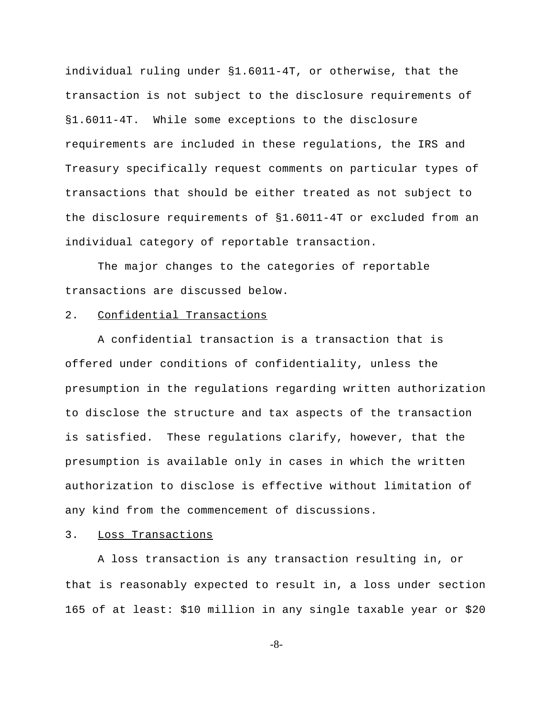individual ruling under §1.6011-4T, or otherwise, that the transaction is not subject to the disclosure requirements of §1.6011-4T. While some exceptions to the disclosure requirements are included in these regulations, the IRS and Treasury specifically request comments on particular types of transactions that should be either treated as not subject to the disclosure requirements of §1.6011-4T or excluded from an individual category of reportable transaction.

The major changes to the categories of reportable transactions are discussed below.

## 2. Confidential Transactions

A confidential transaction is a transaction that is offered under conditions of confidentiality, unless the presumption in the regulations regarding written authorization to disclose the structure and tax aspects of the transaction is satisfied. These regulations clarify, however, that the presumption is available only in cases in which the written authorization to disclose is effective without limitation of any kind from the commencement of discussions.

## 3. Loss Transactions

A loss transaction is any transaction resulting in, or that is reasonably expected to result in, a loss under section 165 of at least: \$10 million in any single taxable year or \$20

-8-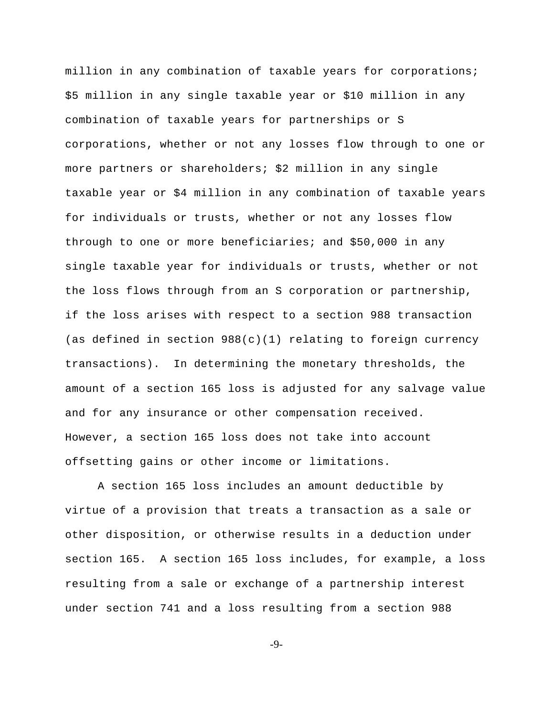million in any combination of taxable years for corporations; \$5 million in any single taxable year or \$10 million in any combination of taxable years for partnerships or S corporations, whether or not any losses flow through to one or more partners or shareholders; \$2 million in any single taxable year or \$4 million in any combination of taxable years for individuals or trusts, whether or not any losses flow through to one or more beneficiaries; and \$50,000 in any single taxable year for individuals or trusts, whether or not the loss flows through from an S corporation or partnership, if the loss arises with respect to a section 988 transaction (as defined in section  $988(c)(1)$  relating to foreign currency transactions). In determining the monetary thresholds, the amount of a section 165 loss is adjusted for any salvage value and for any insurance or other compensation received. However, a section 165 loss does not take into account offsetting gains or other income or limitations.

A section 165 loss includes an amount deductible by virtue of a provision that treats a transaction as a sale or other disposition, or otherwise results in a deduction under section 165. A section 165 loss includes, for example, a loss resulting from a sale or exchange of a partnership interest under section 741 and a loss resulting from a section 988

-9-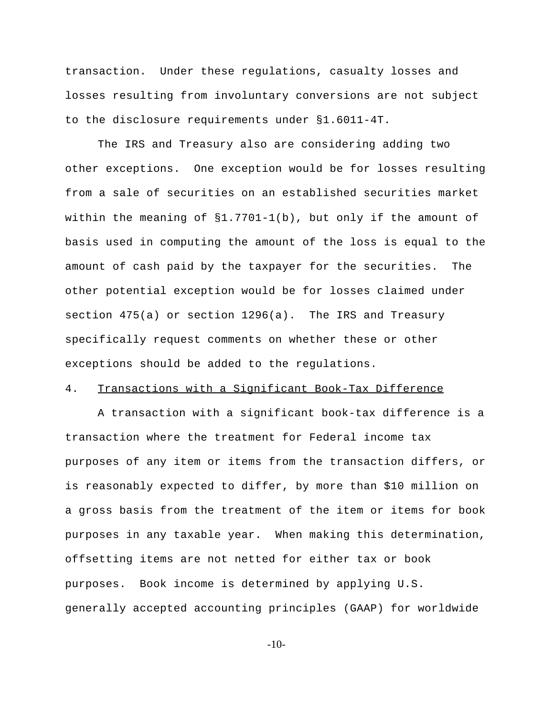transaction. Under these regulations, casualty losses and losses resulting from involuntary conversions are not subject to the disclosure requirements under §1.6011-4T.

The IRS and Treasury also are considering adding two other exceptions. One exception would be for losses resulting from a sale of securities on an established securities market within the meaning of §1.7701-1(b), but only if the amount of basis used in computing the amount of the loss is equal to the amount of cash paid by the taxpayer for the securities. The other potential exception would be for losses claimed under section 475(a) or section 1296(a). The IRS and Treasury specifically request comments on whether these or other exceptions should be added to the regulations.

# 4. Transactions with a Significant Book-Tax Difference

A transaction with a significant book-tax difference is a transaction where the treatment for Federal income tax purposes of any item or items from the transaction differs, or is reasonably expected to differ, by more than \$10 million on a gross basis from the treatment of the item or items for book purposes in any taxable year. When making this determination, offsetting items are not netted for either tax or book purposes. Book income is determined by applying U.S. generally accepted accounting principles (GAAP) for worldwide

-10-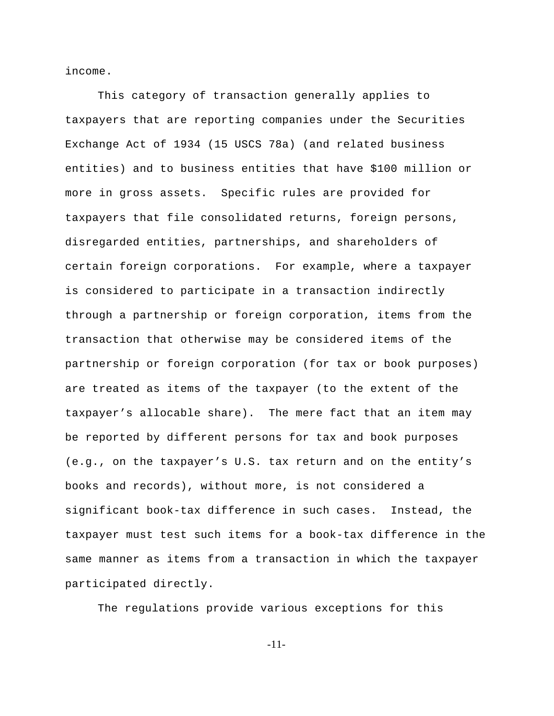income.

This category of transaction generally applies to taxpayers that are reporting companies under the Securities Exchange Act of 1934 (15 USCS 78a) (and related business entities) and to business entities that have \$100 million or more in gross assets. Specific rules are provided for taxpayers that file consolidated returns, foreign persons, disregarded entities, partnerships, and shareholders of certain foreign corporations. For example, where a taxpayer is considered to participate in a transaction indirectly through a partnership or foreign corporation, items from the transaction that otherwise may be considered items of the partnership or foreign corporation (for tax or book purposes) are treated as items of the taxpayer (to the extent of the taxpayer's allocable share). The mere fact that an item may be reported by different persons for tax and book purposes (e.g., on the taxpayer's U.S. tax return and on the entity's books and records), without more, is not considered a significant book-tax difference in such cases. Instead, the taxpayer must test such items for a book-tax difference in the same manner as items from a transaction in which the taxpayer participated directly.

The regulations provide various exceptions for this

-11-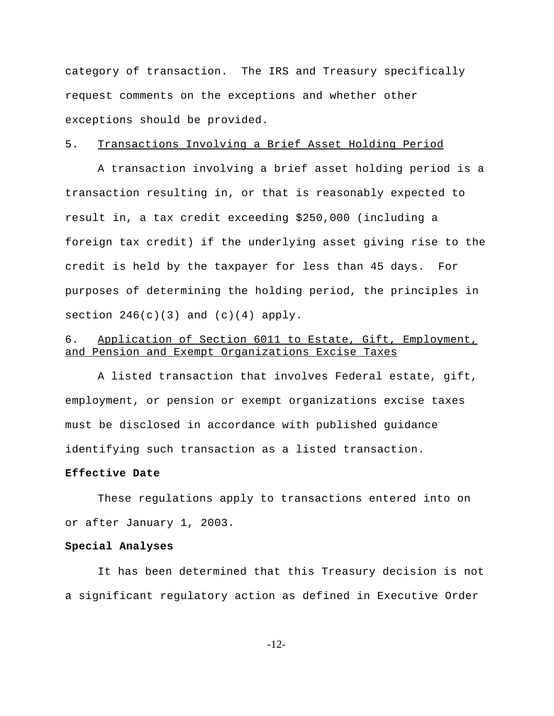category of transaction. The IRS and Treasury specifically request comments on the exceptions and whether other exceptions should be provided.

# 5. Transactions Involving a Brief Asset Holding Period

A transaction involving a brief asset holding period is a transaction resulting in, or that is reasonably expected to result in, a tax credit exceeding \$250,000 (including a foreign tax credit) if the underlying asset giving rise to the credit is held by the taxpayer for less than 45 days. For purposes of determining the holding period, the principles in section  $246(c)(3)$  and  $(c)(4)$  apply.

# 6. Application of Section 6011 to Estate, Gift, Employment, and Pension and Exempt Organizations Excise Taxes

A listed transaction that involves Federal estate, gift, employment, or pension or exempt organizations excise taxes must be disclosed in accordance with published guidance identifying such transaction as a listed transaction.

## **Effective Date**

These regulations apply to transactions entered into on or after January 1, 2003.

#### **Special Analyses**

It has been determined that this Treasury decision is not a significant regulatory action as defined in Executive Order

-12-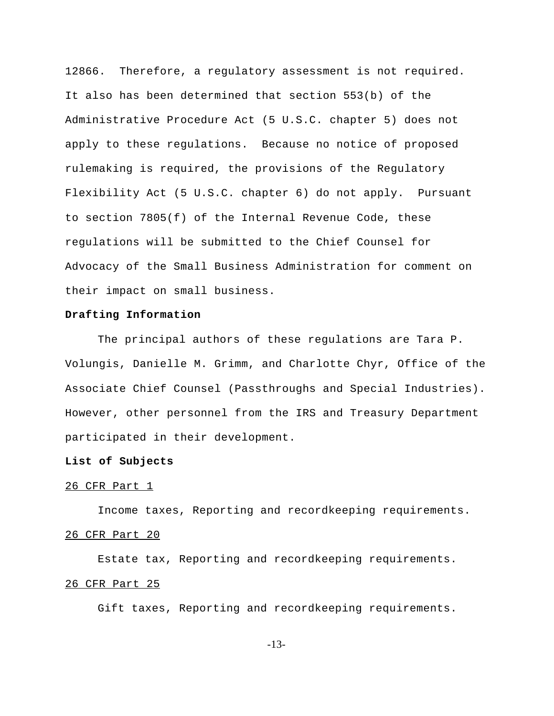12866. Therefore, a regulatory assessment is not required. It also has been determined that section 553(b) of the Administrative Procedure Act (5 U.S.C. chapter 5) does not apply to these regulations. Because no notice of proposed rulemaking is required, the provisions of the Regulatory Flexibility Act (5 U.S.C. chapter 6) do not apply. Pursuant to section 7805(f) of the Internal Revenue Code, these regulations will be submitted to the Chief Counsel for Advocacy of the Small Business Administration for comment on their impact on small business.

## **Drafting Information**

The principal authors of these regulations are Tara P. Volungis, Danielle M. Grimm, and Charlotte Chyr, Office of the Associate Chief Counsel (Passthroughs and Special Industries). However, other personnel from the IRS and Treasury Department participated in their development.

## **List of Subjects**

# 26 CFR Part 1

Income taxes, Reporting and recordkeeping requirements. 26 CFR Part 20

Estate tax, Reporting and recordkeeping requirements. 26 CFR Part 25

Gift taxes, Reporting and recordkeeping requirements.

-13-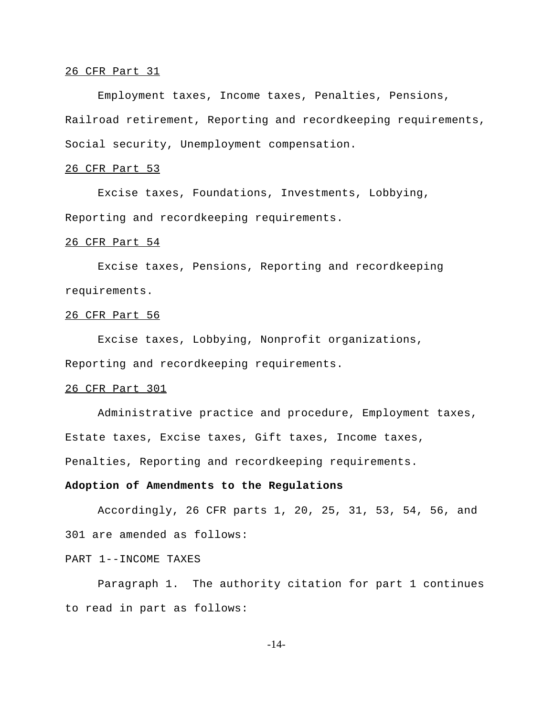#### 26 CFR Part 31

Employment taxes, Income taxes, Penalties, Pensions, Railroad retirement, Reporting and recordkeeping requirements, Social security, Unemployment compensation.

# 26 CFR Part 53

Excise taxes, Foundations, Investments, Lobbying, Reporting and recordkeeping requirements.

#### 26 CFR Part 54

Excise taxes, Pensions, Reporting and recordkeeping requirements.

#### 26 CFR Part 56

Excise taxes, Lobbying, Nonprofit organizations, Reporting and recordkeeping requirements.

# 26 CFR Part 301

Administrative practice and procedure, Employment taxes, Estate taxes, Excise taxes, Gift taxes, Income taxes, Penalties, Reporting and recordkeeping requirements.

#### **Adoption of Amendments to the Regulations**

Accordingly, 26 CFR parts 1, 20, 25, 31, 53, 54, 56, and 301 are amended as follows:

# PART 1--INCOME TAXES

Paragraph 1. The authority citation for part 1 continues to read in part as follows:

-14-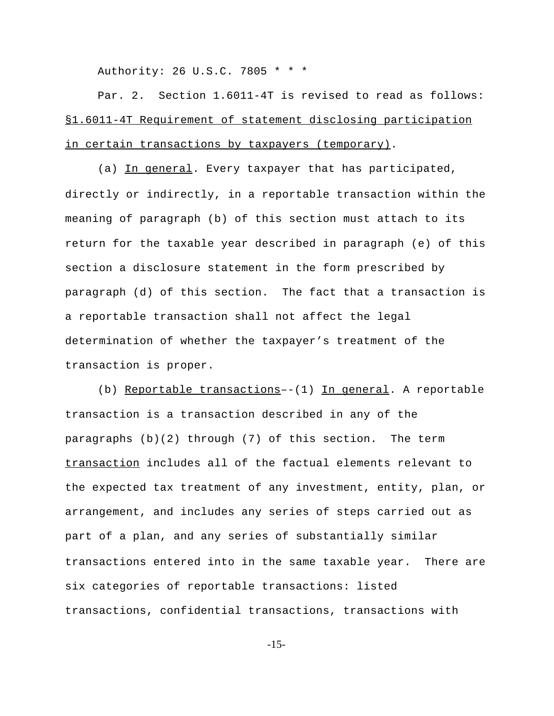Authority: 26 U.S.C. 7805 \* \* \*

Par. 2. Section 1.6011-4T is revised to read as follows: §1.6011-4T Requirement of statement disclosing participation in certain transactions by taxpayers (temporary).

(a) In general. Every taxpayer that has participated, directly or indirectly, in a reportable transaction within the meaning of paragraph (b) of this section must attach to its return for the taxable year described in paragraph (e) of this section a disclosure statement in the form prescribed by paragraph (d) of this section. The fact that a transaction is a reportable transaction shall not affect the legal determination of whether the taxpayer's treatment of the transaction is proper.

(b) Reportable transactions--(1) In general. A reportable transaction is a transaction described in any of the paragraphs (b)(2) through (7) of this section. The term transaction includes all of the factual elements relevant to the expected tax treatment of any investment, entity, plan, or arrangement, and includes any series of steps carried out as part of a plan, and any series of substantially similar transactions entered into in the same taxable year. There are six categories of reportable transactions: listed transactions, confidential transactions, transactions with

-15-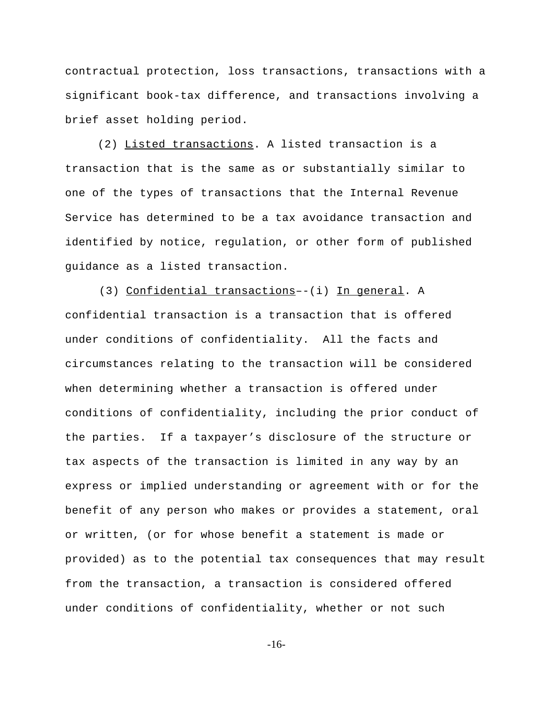contractual protection, loss transactions, transactions with a significant book-tax difference, and transactions involving a brief asset holding period.

(2) Listed transactions. A listed transaction is a transaction that is the same as or substantially similar to one of the types of transactions that the Internal Revenue Service has determined to be a tax avoidance transaction and identified by notice, regulation, or other form of published guidance as a listed transaction.

 (3) Confidential transactions–-(i) In general. A confidential transaction is a transaction that is offered under conditions of confidentiality. All the facts and circumstances relating to the transaction will be considered when determining whether a transaction is offered under conditions of confidentiality, including the prior conduct of the parties. If a taxpayer's disclosure of the structure or tax aspects of the transaction is limited in any way by an express or implied understanding or agreement with or for the benefit of any person who makes or provides a statement, oral or written, (or for whose benefit a statement is made or provided) as to the potential tax consequences that may result from the transaction, a transaction is considered offered under conditions of confidentiality, whether or not such

-16-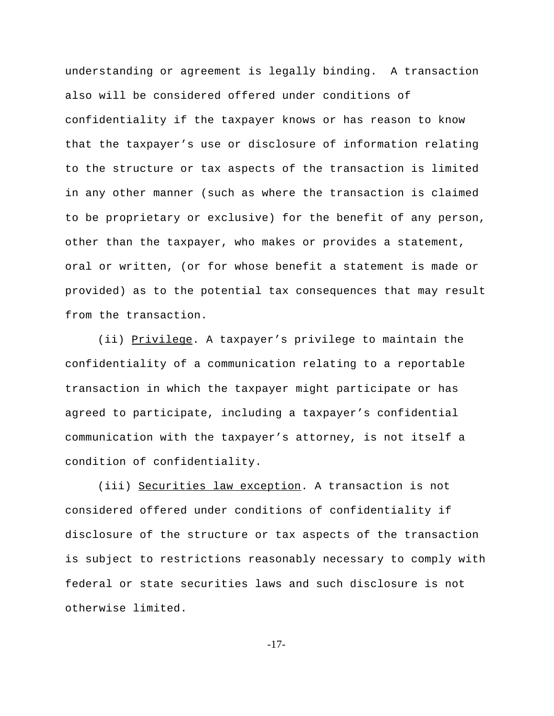understanding or agreement is legally binding. A transaction also will be considered offered under conditions of confidentiality if the taxpayer knows or has reason to know that the taxpayer's use or disclosure of information relating to the structure or tax aspects of the transaction is limited in any other manner (such as where the transaction is claimed to be proprietary or exclusive) for the benefit of any person, other than the taxpayer, who makes or provides a statement, oral or written, (or for whose benefit a statement is made or provided) as to the potential tax consequences that may result from the transaction.

(ii) Privilege. A taxpayer's privilege to maintain the confidentiality of a communication relating to a reportable transaction in which the taxpayer might participate or has agreed to participate, including a taxpayer's confidential communication with the taxpayer's attorney, is not itself a condition of confidentiality.

(iii) Securities law exception. A transaction is not considered offered under conditions of confidentiality if disclosure of the structure or tax aspects of the transaction is subject to restrictions reasonably necessary to comply with federal or state securities laws and such disclosure is not otherwise limited.

-17-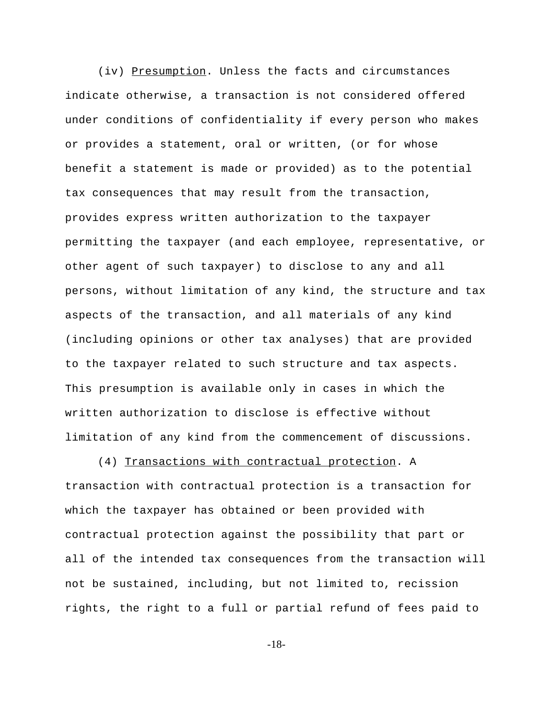(iv) Presumption. Unless the facts and circumstances indicate otherwise, a transaction is not considered offered under conditions of confidentiality if every person who makes or provides a statement, oral or written, (or for whose benefit a statement is made or provided) as to the potential tax consequences that may result from the transaction, provides express written authorization to the taxpayer permitting the taxpayer (and each employee, representative, or other agent of such taxpayer) to disclose to any and all persons, without limitation of any kind, the structure and tax aspects of the transaction, and all materials of any kind (including opinions or other tax analyses) that are provided to the taxpayer related to such structure and tax aspects. This presumption is available only in cases in which the written authorization to disclose is effective without limitation of any kind from the commencement of discussions.

(4) Transactions with contractual protection. A transaction with contractual protection is a transaction for which the taxpayer has obtained or been provided with contractual protection against the possibility that part or all of the intended tax consequences from the transaction will not be sustained, including, but not limited to, recission rights, the right to a full or partial refund of fees paid to

-18-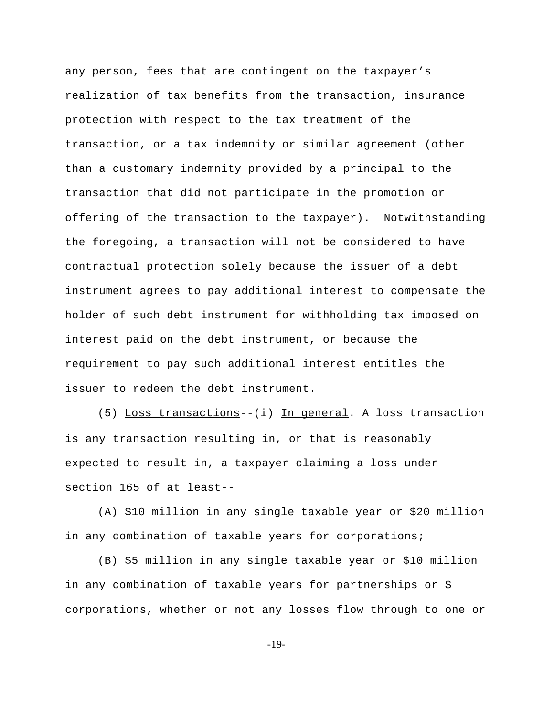any person, fees that are contingent on the taxpayer's realization of tax benefits from the transaction, insurance protection with respect to the tax treatment of the transaction, or a tax indemnity or similar agreement (other than a customary indemnity provided by a principal to the transaction that did not participate in the promotion or offering of the transaction to the taxpayer). Notwithstanding the foregoing, a transaction will not be considered to have contractual protection solely because the issuer of a debt instrument agrees to pay additional interest to compensate the holder of such debt instrument for withholding tax imposed on interest paid on the debt instrument, or because the requirement to pay such additional interest entitles the issuer to redeem the debt instrument.

(5) Loss transactions--(i) In general. A loss transaction is any transaction resulting in, or that is reasonably expected to result in, a taxpayer claiming a loss under section 165 of at least--

(A) \$10 million in any single taxable year or \$20 million in any combination of taxable years for corporations;

(B) \$5 million in any single taxable year or \$10 million in any combination of taxable years for partnerships or S corporations, whether or not any losses flow through to one or

-19-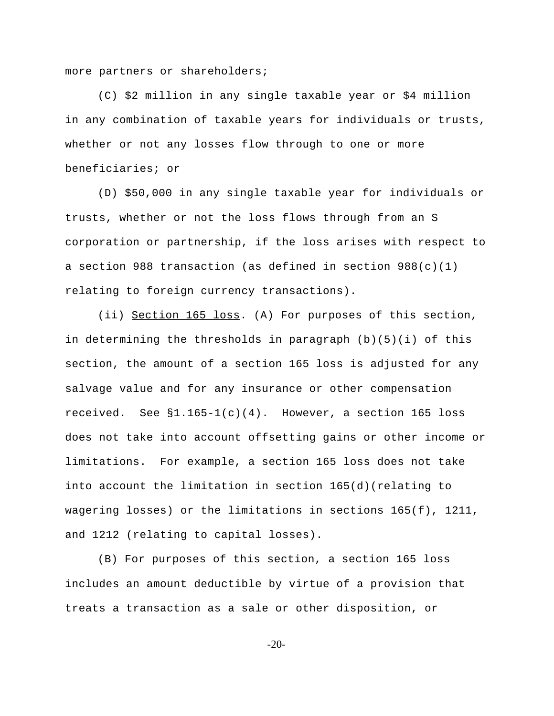more partners or shareholders;

(C) \$2 million in any single taxable year or \$4 million in any combination of taxable years for individuals or trusts, whether or not any losses flow through to one or more beneficiaries; or

(D) \$50,000 in any single taxable year for individuals or trusts, whether or not the loss flows through from an S corporation or partnership, if the loss arises with respect to a section 988 transaction (as defined in section 988(c)(1) relating to foreign currency transactions).

(ii) Section 165 loss. (A) For purposes of this section, in determining the thresholds in paragraph  $(b)(5)(i)$  of this section, the amount of a section 165 loss is adjusted for any salvage value and for any insurance or other compensation received. See  $\S1.165-1(c)(4)$ . However, a section 165 loss does not take into account offsetting gains or other income or limitations. For example, a section 165 loss does not take into account the limitation in section 165(d)(relating to wagering losses) or the limitations in sections 165(f), 1211, and 1212 (relating to capital losses).

(B) For purposes of this section, a section 165 loss includes an amount deductible by virtue of a provision that treats a transaction as a sale or other disposition, or

-20-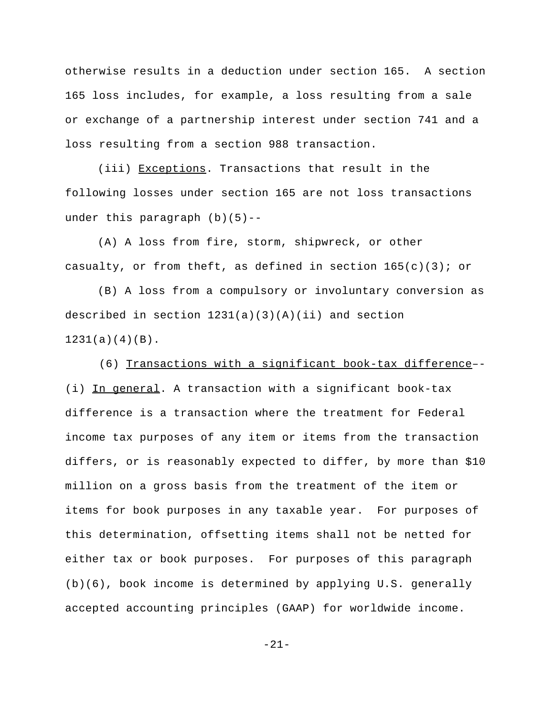otherwise results in a deduction under section 165. A section 165 loss includes, for example, a loss resulting from a sale or exchange of a partnership interest under section 741 and a loss resulting from a section 988 transaction.

(iii) Exceptions. Transactions that result in the following losses under section 165 are not loss transactions under this paragraph  $(b)(5)$ --

(A) A loss from fire, storm, shipwreck, or other casualty, or from theft, as defined in section  $165(c)(3)$ ; or

(B) A loss from a compulsory or involuntary conversion as described in section  $1231(a)(3)(A)(ii)$  and section  $1231(a)(4)(B)$ .

 (6) Transactions with a significant book-tax difference–- (i) In general. A transaction with a significant book-tax difference is a transaction where the treatment for Federal income tax purposes of any item or items from the transaction differs, or is reasonably expected to differ, by more than \$10 million on a gross basis from the treatment of the item or items for book purposes in any taxable year. For purposes of this determination, offsetting items shall not be netted for either tax or book purposes. For purposes of this paragraph (b)(6), book income is determined by applying U.S. generally accepted accounting principles (GAAP) for worldwide income.

-21-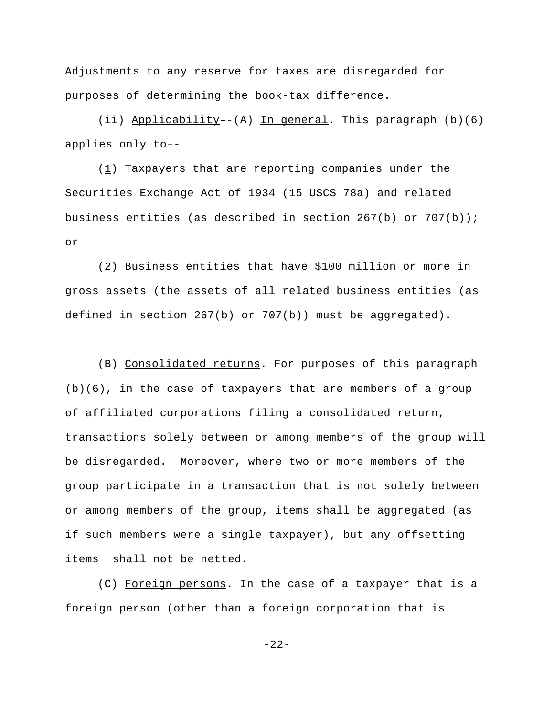Adjustments to any reserve for taxes are disregarded for purposes of determining the book-tax difference.

(ii) Applicability–-(A) In general. This paragraph (b)(6) applies only to–-

 $(1)$  Taxpayers that are reporting companies under the Securities Exchange Act of 1934 (15 USCS 78a) and related business entities (as described in section  $267(b)$  or  $707(b)$ ); or

(2) Business entities that have \$100 million or more in gross assets (the assets of all related business entities (as defined in section 267(b) or 707(b)) must be aggregated).

(B) Consolidated returns. For purposes of this paragraph  $(b)(6)$ , in the case of taxpayers that are members of a group of affiliated corporations filing a consolidated return, transactions solely between or among members of the group will be disregarded. Moreover, where two or more members of the group participate in a transaction that is not solely between or among members of the group, items shall be aggregated (as if such members were a single taxpayer), but any offsetting items shall not be netted.

(C) Foreign persons. In the case of a taxpayer that is a foreign person (other than a foreign corporation that is

 $-22-$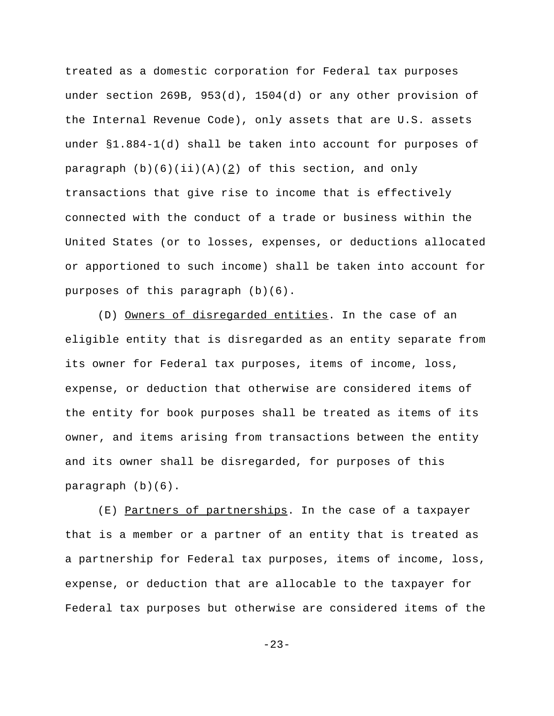treated as a domestic corporation for Federal tax purposes under section 269B, 953(d), 1504(d) or any other provision of the Internal Revenue Code), only assets that are U.S. assets under §1.884-1(d) shall be taken into account for purposes of paragraph  $(b)(6)(ii)(A)(2)$  of this section, and only transactions that give rise to income that is effectively connected with the conduct of a trade or business within the United States (or to losses, expenses, or deductions allocated or apportioned to such income) shall be taken into account for purposes of this paragraph (b)(6).

(D) Owners of disregarded entities. In the case of an eligible entity that is disregarded as an entity separate from its owner for Federal tax purposes, items of income, loss, expense, or deduction that otherwise are considered items of the entity for book purposes shall be treated as items of its owner, and items arising from transactions between the entity and its owner shall be disregarded, for purposes of this paragraph (b)(6).

(E) Partners of partnerships. In the case of a taxpayer that is a member or a partner of an entity that is treated as a partnership for Federal tax purposes, items of income, loss, expense, or deduction that are allocable to the taxpayer for Federal tax purposes but otherwise are considered items of the

-23-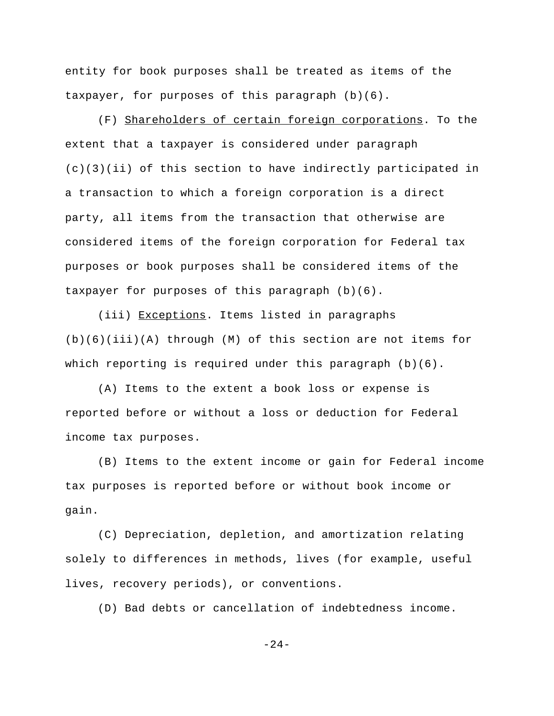entity for book purposes shall be treated as items of the taxpayer, for purposes of this paragraph (b)(6).

(F) Shareholders of certain foreign corporations. To the extent that a taxpayer is considered under paragraph (c)(3)(ii) of this section to have indirectly participated in a transaction to which a foreign corporation is a direct party, all items from the transaction that otherwise are considered items of the foreign corporation for Federal tax purposes or book purposes shall be considered items of the taxpayer for purposes of this paragraph (b)(6).

(iii) Exceptions. Items listed in paragraphs (b)(6)(iii)(A) through (M) of this section are not items for which reporting is required under this paragraph  $(b)(6)$ .

(A) Items to the extent a book loss or expense is reported before or without a loss or deduction for Federal income tax purposes.

(B) Items to the extent income or gain for Federal income tax purposes is reported before or without book income or gain.

(C) Depreciation, depletion, and amortization relating solely to differences in methods, lives (for example, useful lives, recovery periods), or conventions.

(D) Bad debts or cancellation of indebtedness income.

 $-24-$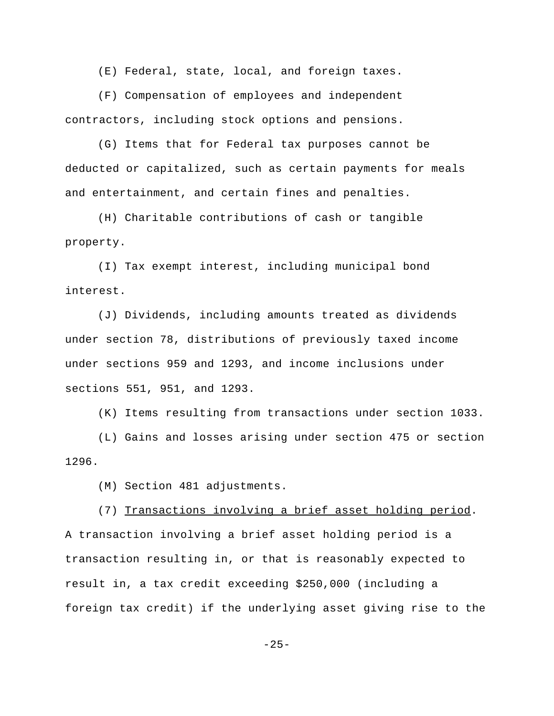(E) Federal, state, local, and foreign taxes.

(F) Compensation of employees and independent contractors, including stock options and pensions.

(G) Items that for Federal tax purposes cannot be deducted or capitalized, such as certain payments for meals and entertainment, and certain fines and penalties.

(H) Charitable contributions of cash or tangible property.

(I) Tax exempt interest, including municipal bond interest.

(J) Dividends, including amounts treated as dividends under section 78, distributions of previously taxed income under sections 959 and 1293, and income inclusions under sections 551, 951, and 1293.

(K) Items resulting from transactions under section 1033.

(L) Gains and losses arising under section 475 or section 1296.

(M) Section 481 adjustments.

(7) Transactions involving a brief asset holding period. A transaction involving a brief asset holding period is a transaction resulting in, or that is reasonably expected to result in, a tax credit exceeding \$250,000 (including a foreign tax credit) if the underlying asset giving rise to the

 $-25-$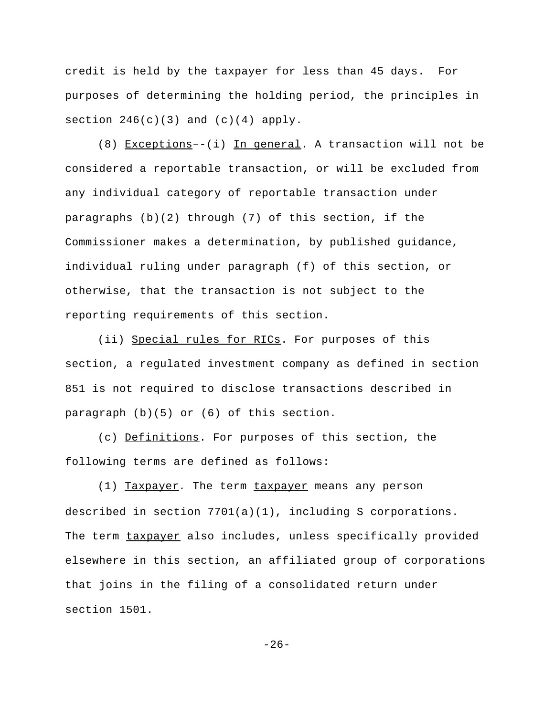credit is held by the taxpayer for less than 45 days. For purposes of determining the holding period, the principles in section  $246(c)(3)$  and  $(c)(4)$  apply.

(8) Exceptions–-(i) In general. A transaction will not be considered a reportable transaction, or will be excluded from any individual category of reportable transaction under paragraphs (b)(2) through (7) of this section, if the Commissioner makes a determination, by published guidance, individual ruling under paragraph (f) of this section, or otherwise, that the transaction is not subject to the reporting requirements of this section.

(ii) Special rules for RICs. For purposes of this section, a regulated investment company as defined in section 851 is not required to disclose transactions described in paragraph (b)(5) or (6) of this section.

(c) Definitions. For purposes of this section, the following terms are defined as follows:

(1) Taxpayer*.* The term taxpayer means any person described in section 7701(a)(1), including S corporations. The term taxpayer also includes, unless specifically provided elsewhere in this section, an affiliated group of corporations that joins in the filing of a consolidated return under section 1501.

 $-26-$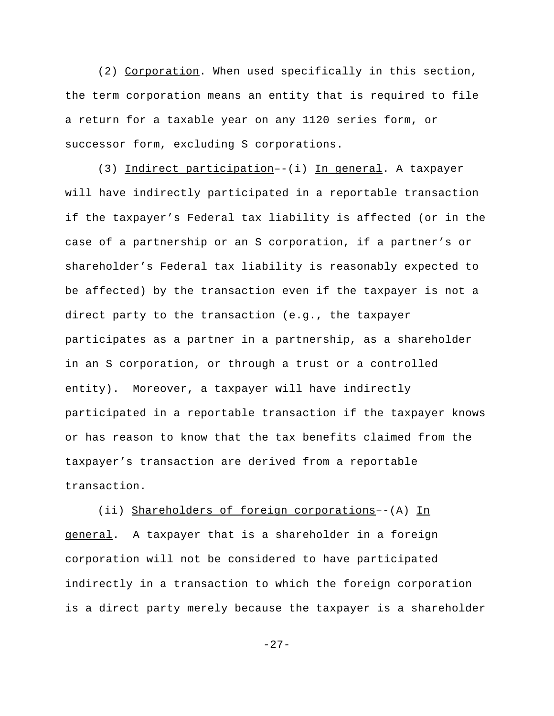(2) Corporation. When used specifically in this section, the term corporation means an entity that is required to file a return for a taxable year on any 1120 series form, or successor form, excluding S corporations.

(3) Indirect participation--(i) In general. A taxpayer will have indirectly participated in a reportable transaction if the taxpayer's Federal tax liability is affected (or in the case of a partnership or an S corporation, if a partner's or shareholder's Federal tax liability is reasonably expected to be affected) by the transaction even if the taxpayer is not a direct party to the transaction (e.g., the taxpayer participates as a partner in a partnership, as a shareholder in an S corporation, or through a trust or a controlled entity). Moreover, a taxpayer will have indirectly participated in a reportable transaction if the taxpayer knows or has reason to know that the tax benefits claimed from the taxpayer's transaction are derived from a reportable transaction.

(ii) Shareholders of foreign corporations--(A) In general. A taxpayer that is a shareholder in a foreign corporation will not be considered to have participated indirectly in a transaction to which the foreign corporation is a direct party merely because the taxpayer is a shareholder

 $-27-$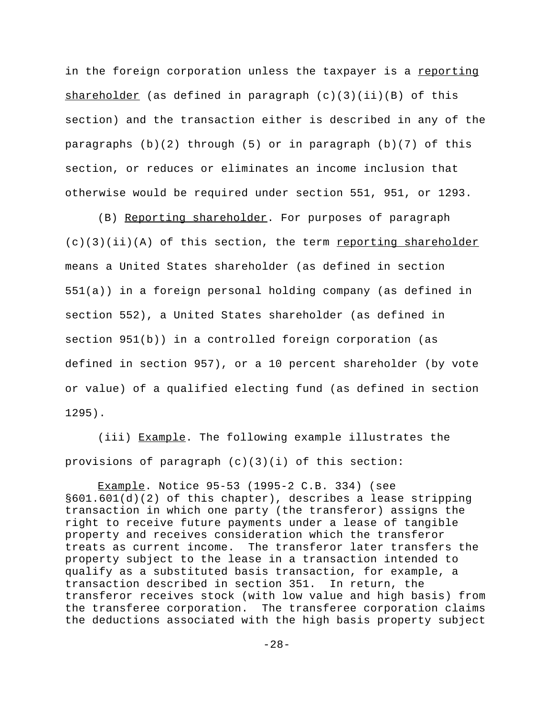in the foreign corporation unless the taxpayer is a reporting shareholder (as defined in paragraph  $(c)(3)(ii)(B)$  of this section) and the transaction either is described in any of the paragraphs  $(b)(2)$  through (5) or in paragraph  $(b)(7)$  of this section, or reduces or eliminates an income inclusion that otherwise would be required under section 551, 951, or 1293.

(B) Reporting shareholder. For purposes of paragraph  $(c)(3)(ii)(A)$  of this section, the term reporting shareholder means a United States shareholder (as defined in section 551(a)) in a foreign personal holding company (as defined in section 552), a United States shareholder (as defined in section 951(b)) in a controlled foreign corporation (as defined in section 957), or a 10 percent shareholder (by vote or value) of a qualified electing fund (as defined in section 1295).

(iii) Example. The following example illustrates the provisions of paragraph (c)(3)(i) of this section:

Example. Notice 95-53 (1995-2 C.B. 334) (see §601.601(d)(2) of this chapter), describes a lease stripping transaction in which one party (the transferor) assigns the right to receive future payments under a lease of tangible property and receives consideration which the transferor treats as current income. The transferor later transfers the property subject to the lease in a transaction intended to qualify as a substituted basis transaction, for example, a transaction described in section 351. In return, the transferor receives stock (with low value and high basis) from the transferee corporation. The transferee corporation claims the deductions associated with the high basis property subject

-28-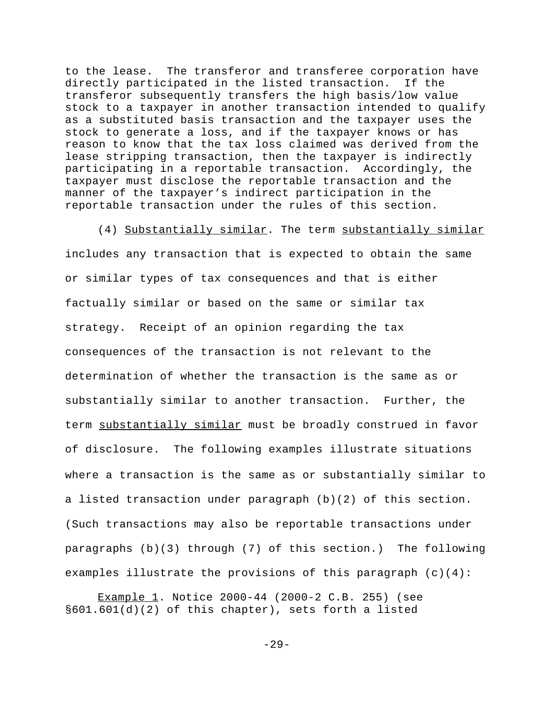to the lease. The transferor and transferee corporation have directly participated in the listed transaction. If the transferor subsequently transfers the high basis/low value stock to a taxpayer in another transaction intended to qualify as a substituted basis transaction and the taxpayer uses the stock to generate a loss, and if the taxpayer knows or has reason to know that the tax loss claimed was derived from the lease stripping transaction, then the taxpayer is indirectly participating in a reportable transaction. Accordingly, the taxpayer must disclose the reportable transaction and the manner of the taxpayer's indirect participation in the reportable transaction under the rules of this section.

(4) Substantially similar. The term substantially similar includes any transaction that is expected to obtain the same or similar types of tax consequences and that is either factually similar or based on the same or similar tax strategy. Receipt of an opinion regarding the tax consequences of the transaction is not relevant to the determination of whether the transaction is the same as or substantially similar to another transaction. Further, the term substantially similar must be broadly construed in favor of disclosure.The following examples illustrate situations where a transaction is the same as or substantially similar to a listed transaction under paragraph (b)(2) of this section. (Such transactions may also be reportable transactions under paragraphs (b)(3) through (7) of this section.) The following examples illustrate the provisions of this paragraph  $(c)(4)$ :

Example 1. Notice 2000-44 (2000-2 C.B. 255) (see §601.601(d)(2) of this chapter), sets forth a listed

-29-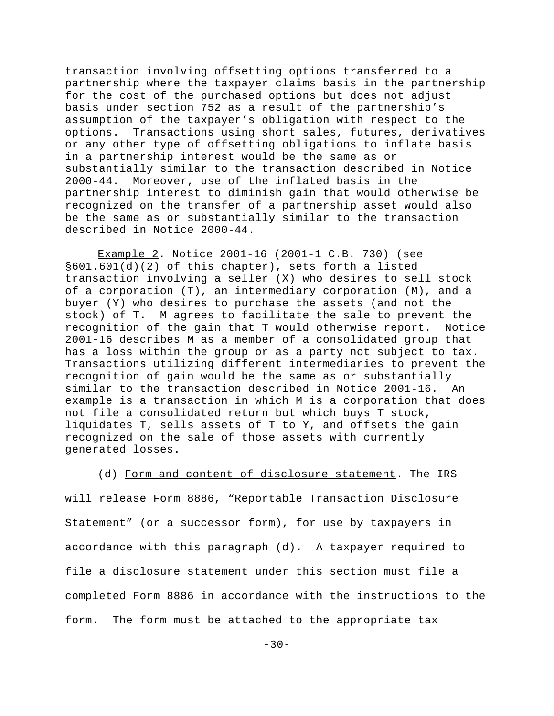transaction involving offsetting options transferred to a partnership where the taxpayer claims basis in the partnership for the cost of the purchased options but does not adjust basis under section 752 as a result of the partnership's assumption of the taxpayer's obligation with respect to the options. Transactions using short sales, futures, derivatives or any other type of offsetting obligations to inflate basis in a partnership interest would be the same as or substantially similar to the transaction described in Notice 2000-44. Moreover, use of the inflated basis in the partnership interest to diminish gain that would otherwise be recognized on the transfer of a partnership asset would also be the same as or substantially similar to the transaction described in Notice 2000-44.

Example 2. Notice 2001-16 (2001-1 C.B. 730) (see §601.601(d)(2) of this chapter), sets forth a listed transaction involving a seller (X) who desires to sell stock of a corporation (T), an intermediary corporation (M), and a buyer (Y) who desires to purchase the assets (and not the stock) of T. M agrees to facilitate the sale to prevent the recognition of the gain that T would otherwise report. Notice 2001-16 describes M as a member of a consolidated group that has a loss within the group or as a party not subject to tax. Transactions utilizing different intermediaries to prevent the recognition of gain would be the same as or substantially similar to the transaction described in Notice 2001-16. An example is a transaction in which M is a corporation that does not file a consolidated return but which buys T stock, liquidates T, sells assets of T to Y, and offsets the gain recognized on the sale of those assets with currently generated losses.

(d) Form and content of disclosure statement. The IRS will release Form 8886, "Reportable Transaction Disclosure Statement" (or a successor form), for use by taxpayers in accordance with this paragraph (d). A taxpayer required to file a disclosure statement under this section must file a completed Form 8886 in accordance with the instructions to the form. The form must be attached to the appropriate tax

 $-30-$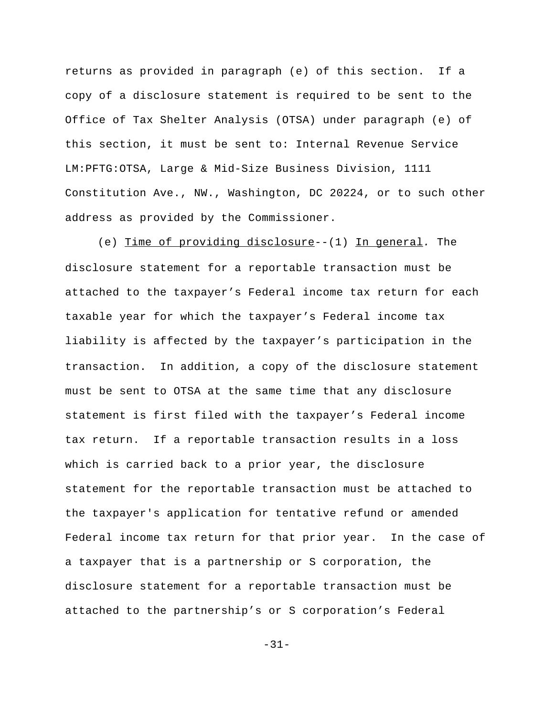returns as provided in paragraph (e) of this section. If a copy of a disclosure statement is required to be sent to the Office of Tax Shelter Analysis (OTSA) under paragraph (e) of this section, it must be sent to: Internal Revenue Service LM:PFTG:OTSA, Large & Mid-Size Business Division, 1111 Constitution Ave., NW., Washington, DC 20224, or to such other address as provided by the Commissioner.

(e) Time of providing disclosure--(1) In general*.* The disclosure statement for a reportable transaction must be attached to the taxpayer's Federal income tax return for each taxable year for which the taxpayer's Federal income tax liability is affected by the taxpayer's participation in the transaction. In addition, a copy of the disclosure statement must be sent to OTSA at the same time that any disclosure statement is first filed with the taxpayer's Federal income tax return. If a reportable transaction results in a loss which is carried back to a prior year, the disclosure statement for the reportable transaction must be attached to the taxpayer's application for tentative refund or amended Federal income tax return for that prior year. In the case of a taxpayer that is a partnership or S corporation, the disclosure statement for a reportable transaction must be attached to the partnership's or S corporation's Federal

-31-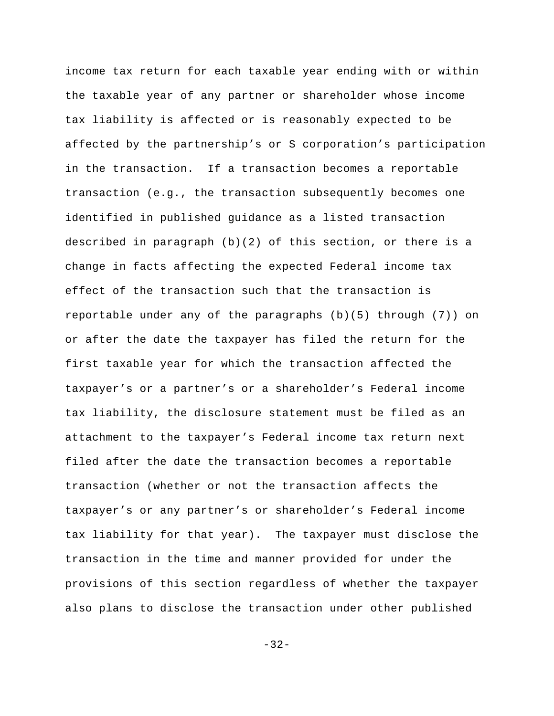income tax return for each taxable year ending with or within the taxable year of any partner or shareholder whose income tax liability is affected or is reasonably expected to be affected by the partnership's or S corporation's participation in the transaction. If a transaction becomes a reportable transaction (e.g., the transaction subsequently becomes one identified in published guidance as a listed transaction described in paragraph (b)(2) of this section, or there is a change in facts affecting the expected Federal income tax effect of the transaction such that the transaction is reportable under any of the paragraphs (b)(5) through (7)) on or after the date the taxpayer has filed the return for the first taxable year for which the transaction affected the taxpayer's or a partner's or a shareholder's Federal income tax liability, the disclosure statement must be filed as an attachment to the taxpayer's Federal income tax return next filed after the date the transaction becomes a reportable transaction (whether or not the transaction affects the taxpayer's or any partner's or shareholder's Federal income tax liability for that year). The taxpayer must disclose the transaction in the time and manner provided for under the provisions of this section regardless of whether the taxpayer also plans to disclose the transaction under other published

-32-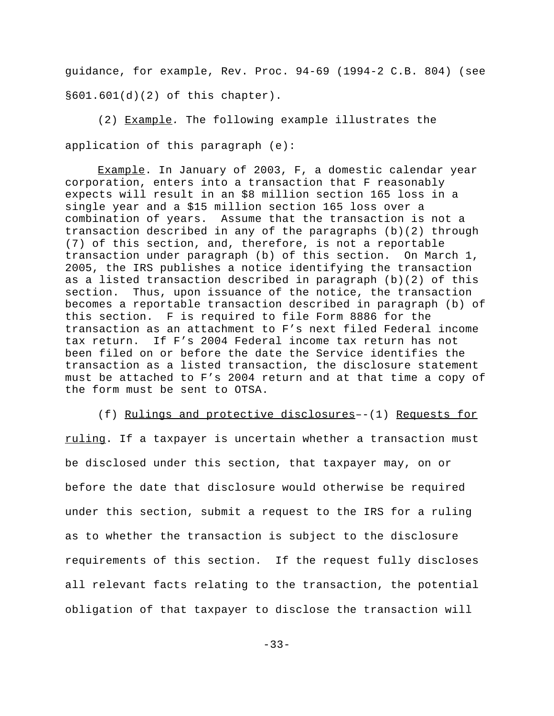guidance, for example, Rev. Proc. 94-69 (1994-2 C.B. 804) (see §601.601(d)(2) of this chapter).

(2) Example*.* The following example illustrates the application of this paragraph (e):

Example. In January of 2003, F, a domestic calendar year corporation, enters into a transaction that F reasonably expects will result in an \$8 million section 165 loss in a single year and a \$15 million section 165 loss over a combination of years. Assume that the transaction is not a transaction described in any of the paragraphs (b)(2) through (7) of this section, and, therefore, is not a reportable transaction under paragraph (b) of this section. On March 1, 2005, the IRS publishes a notice identifying the transaction as a listed transaction described in paragraph (b)(2) of this section. Thus, upon issuance of the notice, the transaction becomes a reportable transaction described in paragraph (b) of this section. F is required to file Form 8886 for the transaction as an attachment to F's next filed Federal income tax return. If F's 2004 Federal income tax return has not been filed on or before the date the Service identifies the transaction as a listed transaction, the disclosure statement must be attached to F's 2004 return and at that time a copy of the form must be sent to OTSA.

(f) Rulings and protective disclosures–-(1) Requests for ruling. If a taxpayer is uncertain whether a transaction must be disclosed under this section, that taxpayer may, on or before the date that disclosure would otherwise be required under this section, submit a request to the IRS for a ruling as to whether the transaction is subject to the disclosure requirements of this section. If the request fully discloses all relevant facts relating to the transaction, the potential obligation of that taxpayer to disclose the transaction will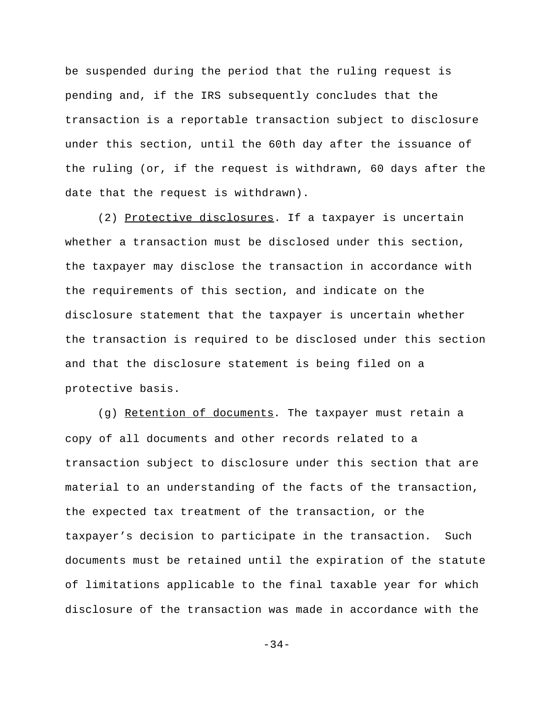be suspended during the period that the ruling request is pending and, if the IRS subsequently concludes that the transaction is a reportable transaction subject to disclosure under this section, until the 60th day after the issuance of the ruling (or, if the request is withdrawn, 60 days after the date that the request is withdrawn).

(2) Protective disclosures. If a taxpayer is uncertain whether a transaction must be disclosed under this section, the taxpayer may disclose the transaction in accordance with the requirements of this section, and indicate on the disclosure statement that the taxpayer is uncertain whether the transaction is required to be disclosed under this section and that the disclosure statement is being filed on a protective basis.

(g) Retention of documents*.* The taxpayer must retain a copy of all documents and other records related to a transaction subject to disclosure under this section that are material to an understanding of the facts of the transaction, the expected tax treatment of the transaction, or the taxpayer's decision to participate in the transaction. Such documents must be retained until the expiration of the statute of limitations applicable to the final taxable year for which disclosure of the transaction was made in accordance with the

-34-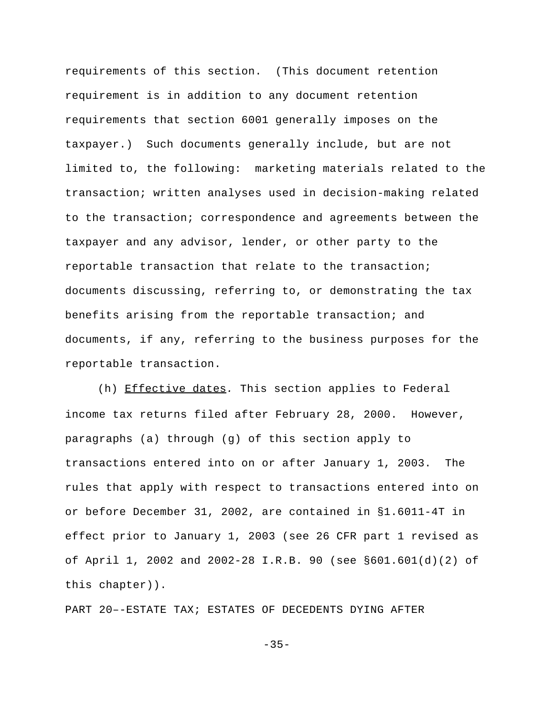requirements of this section. (This document retention requirement is in addition to any document retention requirements that section 6001 generally imposes on the taxpayer.) Such documents generally include, but are not limited to, the following: marketing materials related to the transaction; written analyses used in decision-making related to the transaction; correspondence and agreements between the taxpayer and any advisor, lender, or other party to the reportable transaction that relate to the transaction; documents discussing, referring to, or demonstrating the tax benefits arising from the reportable transaction; and documents, if any, referring to the business purposes for the reportable transaction.

(h) Effective dates*.* This section applies to Federal income tax returns filed after February 28, 2000. However, paragraphs (a) through (g) of this section apply to transactions entered into on or after January 1, 2003. The rules that apply with respect to transactions entered into on or before December 31, 2002, are contained in §1.6011-4T in effect prior to January 1, 2003 (see 26 CFR part 1 revised as of April 1, 2002 and 2002-28 I.R.B. 90 (see §601.601(d)(2) of this chapter)).

PART 20–-ESTATE TAX; ESTATES OF DECEDENTS DYING AFTER

 $-35-$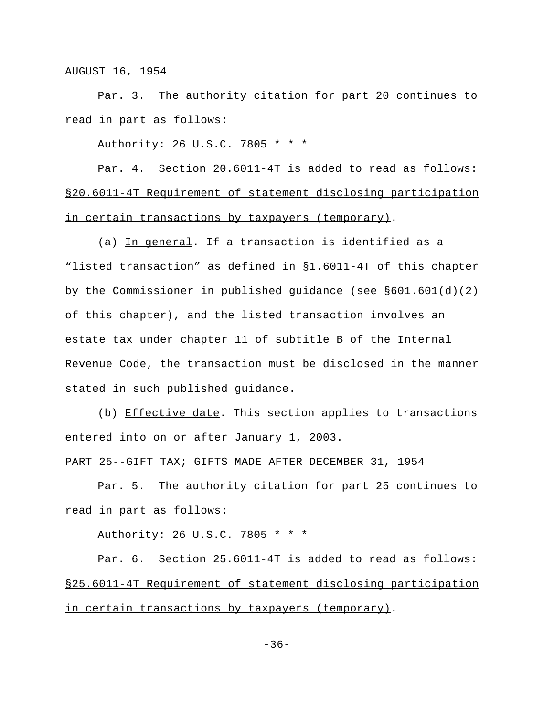AUGUST 16, 1954

Par. 3. The authority citation for part 20 continues to read in part as follows:

Authority: 26 U.S.C. 7805 \* \* \*

Par. 4. Section 20.6011-4T is added to read as follows: §20.6011-4T Requirement of statement disclosing participation in certain transactions by taxpayers (temporary).

(a) In general. If a transaction is identified as a "listed transaction" as defined in §1.6011-4T of this chapter by the Commissioner in published guidance (see §601.601(d)(2) of this chapter), and the listed transaction involves an estate tax under chapter 11 of subtitle B of the Internal Revenue Code, the transaction must be disclosed in the manner stated in such published guidance.

(b) Effective date. This section applies to transactions entered into on or after January 1, 2003.

PART 25--GIFT TAX; GIFTS MADE AFTER DECEMBER 31, 1954

Par. 5. The authority citation for part 25 continues to read in part as follows:

Authority: 26 U.S.C. 7805 \* \* \*

Par. 6. Section 25.6011-4T is added to read as follows: §25.6011-4T Requirement of statement disclosing participation in certain transactions by taxpayers (temporary).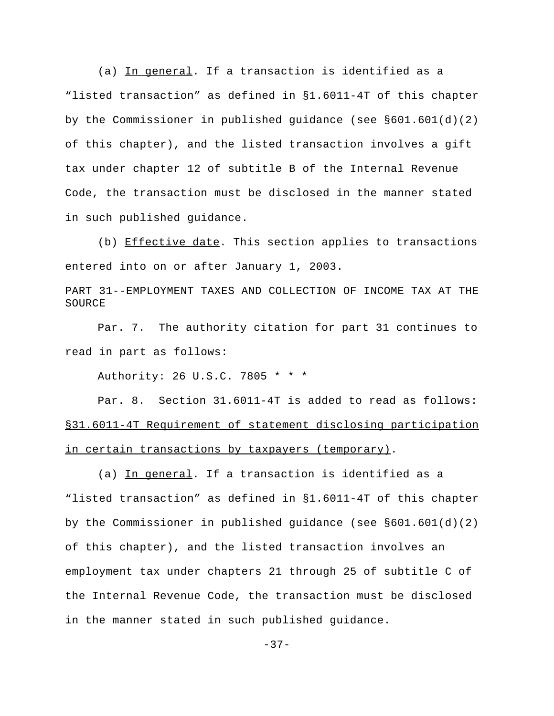(a) In general. If a transaction is identified as a "listed transaction" as defined in §1.6011-4T of this chapter by the Commissioner in published guidance (see §601.601(d)(2) of this chapter), and the listed transaction involves a gift tax under chapter 12 of subtitle B of the Internal Revenue Code, the transaction must be disclosed in the manner stated in such published guidance.

(b) Effective date. This section applies to transactions entered into on or after January 1, 2003.

PART 31--EMPLOYMENT TAXES AND COLLECTION OF INCOME TAX AT THE SOURCE

Par. 7. The authority citation for part 31 continues to read in part as follows:

Authority: 26 U.S.C. 7805 \* \* \*

Par. 8. Section 31.6011-4T is added to read as follows: §31.6011-4T Requirement of statement disclosing participation in certain transactions by taxpayers (temporary).

(a) In general. If a transaction is identified as a "listed transaction" as defined in §1.6011-4T of this chapter by the Commissioner in published quidance (see  $\S601.601(d)(2)$ ) of this chapter), and the listed transaction involves an employment tax under chapters 21 through 25 of subtitle C of the Internal Revenue Code, the transaction must be disclosed in the manner stated in such published guidance.

 $-37-$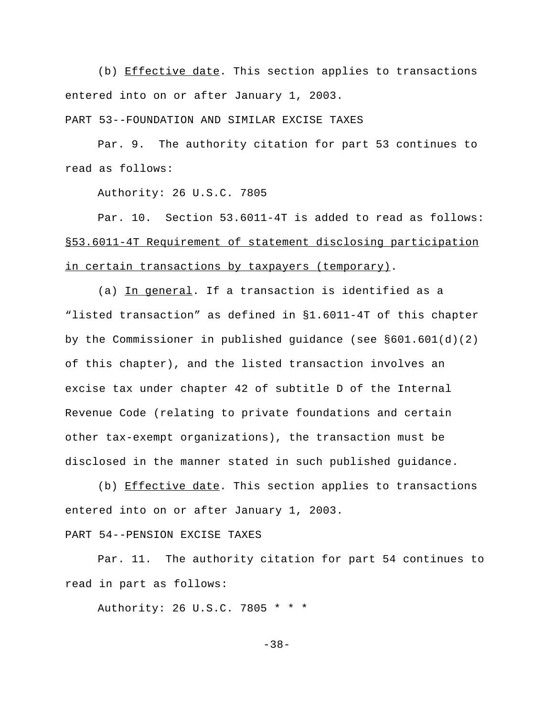(b) Effective date. This section applies to transactions entered into on or after January 1, 2003.

PART 53--FOUNDATION AND SIMILAR EXCISE TAXES

Par. 9. The authority citation for part 53 continues to read as follows:

Authority: 26 U.S.C. 7805

Par. 10. Section 53.6011-4T is added to read as follows: §53.6011-4T Requirement of statement disclosing participation in certain transactions by taxpayers (temporary).

(a) In general. If a transaction is identified as a "listed transaction" as defined in §1.6011-4T of this chapter by the Commissioner in published guidance (see  $\S601.601(d)(2)$ of this chapter), and the listed transaction involves an excise tax under chapter 42 of subtitle D of the Internal Revenue Code (relating to private foundations and certain other tax-exempt organizations), the transaction must be disclosed in the manner stated in such published guidance.

(b) Effective date. This section applies to transactions entered into on or after January 1, 2003.

PART 54--PENSION EXCISE TAXES

Par. 11. The authority citation for part 54 continues to read in part as follows:

Authority: 26 U.S.C. 7805 \* \* \*

-38-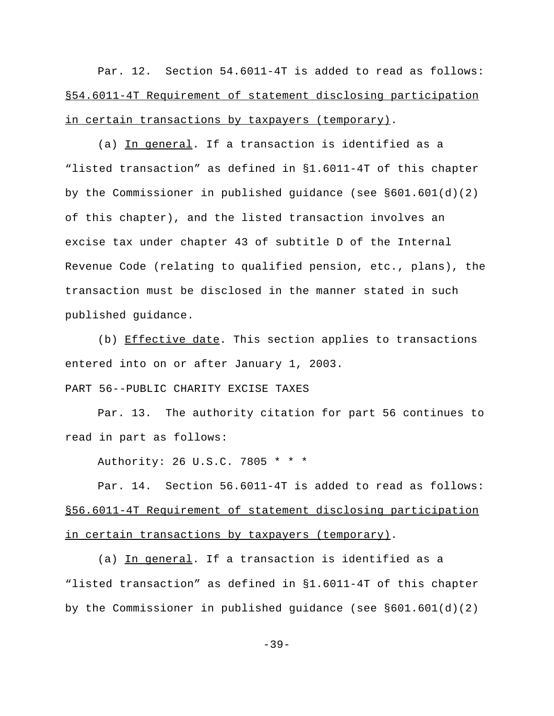Par. 12. Section 54.6011-4T is added to read as follows: §54.6011-4T Requirement of statement disclosing participation in certain transactions by taxpayers (temporary).

(a) In general. If a transaction is identified as a "listed transaction" as defined in §1.6011-4T of this chapter by the Commissioner in published guidance (see §601.601(d)(2) of this chapter), and the listed transaction involves an excise tax under chapter 43 of subtitle D of the Internal Revenue Code (relating to qualified pension, etc., plans), the transaction must be disclosed in the manner stated in such published guidance.

(b) Effective date. This section applies to transactions entered into on or after January 1, 2003.

PART 56--PUBLIC CHARITY EXCISE TAXES

Par. 13. The authority citation for part 56 continues to read in part as follows:

Authority: 26 U.S.C. 7805 \* \* \*

Par. 14. Section 56.6011-4T is added to read as follows: §56.6011-4T Requirement of statement disclosing participation in certain transactions by taxpayers (temporary).

(a) In general. If a transaction is identified as a "listed transaction" as defined in §1.6011-4T of this chapter by the Commissioner in published guidance (see §601.601(d)(2)

 $-39-$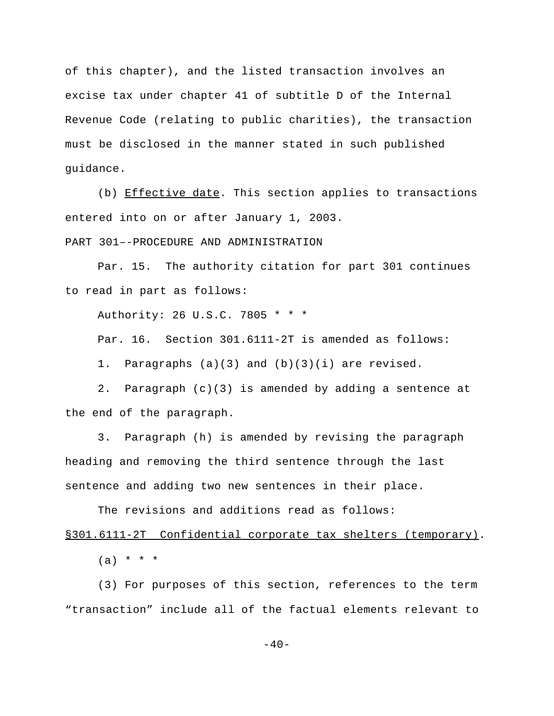of this chapter), and the listed transaction involves an excise tax under chapter 41 of subtitle D of the Internal Revenue Code (relating to public charities), the transaction must be disclosed in the manner stated in such published guidance.

(b) Effective date. This section applies to transactions entered into on or after January 1, 2003.

PART 301–-PROCEDURE AND ADMINISTRATION

Par. 15. The authority citation for part 301 continues to read in part as follows:

Authority: 26 U.S.C. 7805 \* \* \*

Par. 16. Section 301.6111-2T is amended as follows:

1. Paragraphs (a)(3) and (b)(3)(i) are revised.

2. Paragraph (c)(3) is amended by adding a sentence at the end of the paragraph.

3. Paragraph (h) is amended by revising the paragraph heading and removing the third sentence through the last sentence and adding two new sentences in their place.

The revisions and additions read as follows:

§301.6111-2TConfidential corporate tax shelters (temporary).

 $(a) * * * *$ 

(3) For purposes of this section, references to the term "transaction" include all of the factual elements relevant to

 $-40-$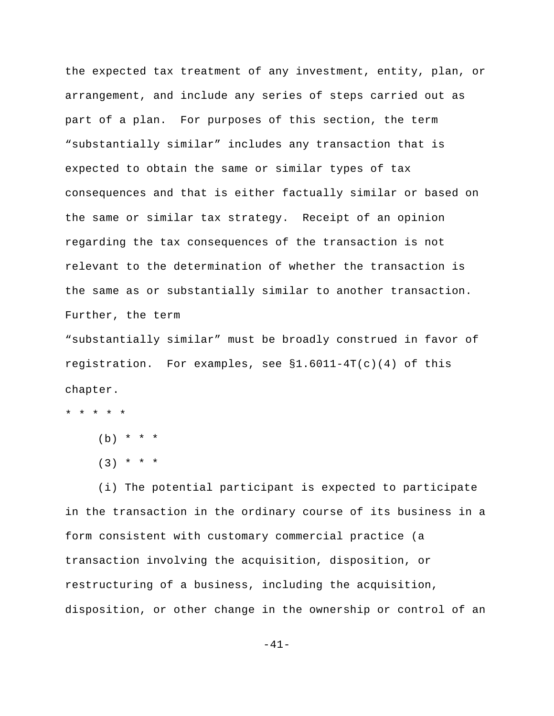the expected tax treatment of any investment, entity, plan, or arrangement, and include any series of steps carried out as part of a plan. For purposes of this section, the term "substantially similar" includes any transaction that is expected to obtain the same or similar types of tax consequences and that is either factually similar or based on the same or similar tax strategy. Receipt of an opinion regarding the tax consequences of the transaction is not relevant to the determination of whether the transaction is the same as or substantially similar to another transaction. Further, the term

"substantially similar" must be broadly construed in favor of registration.For examples, see §1.6011-4T(c)(4) of this chapter.

\* \* \* \* \*

 $(b) * * * *$ 

 $(3)$  \* \* \*

(i) The potential participant is expected to participate in the transaction in the ordinary course of its business in a form consistent with customary commercial practice (a transaction involving the acquisition, disposition, or restructuring of a business, including the acquisition, disposition, or other change in the ownership or control of an

-41-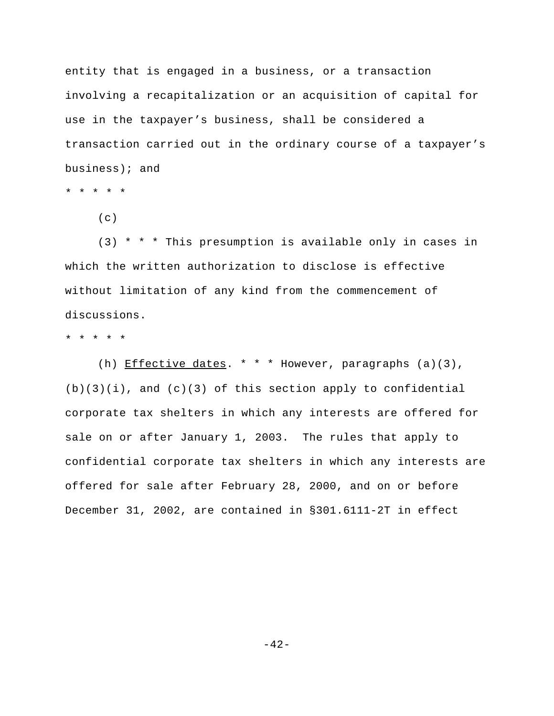entity that is engaged in a business, or a transaction involving a recapitalization or an acquisition of capital for use in the taxpayer's business, shall be considered a transaction carried out in the ordinary course of a taxpayer's business); and

\* \* \* \* \*

 $(c)$ 

(3) \* \* \* This presumption is available only in cases in which the written authorization to disclose is effective without limitation of any kind from the commencement of discussions.

\* \* \* \* \*

(h) Effective dates. \* \* \* However, paragraphs (a)(3),  $(b)(3)(i)$ , and  $(c)(3)$  of this section apply to confidential corporate tax shelters in which any interests are offered for sale on or after January 1, 2003. The rules that apply to confidential corporate tax shelters in which any interests are offered for sale after February 28, 2000, and on or before December 31, 2002, are contained in §301.6111-2T in effect

 $-42-$